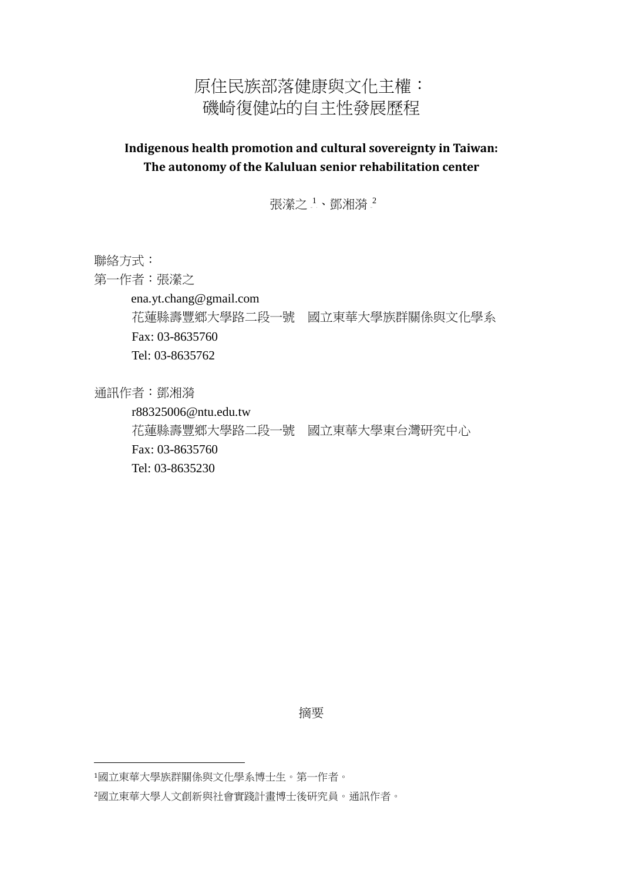## 原住民族部落健康與文化主權: 磯崎復健站的自主性發展歷程

## **Indigenous health promotion and cultural sovereignty in Taiwan: The autonomy of the Kaluluan senior rehabilitation center**

張瀠之 $^1$ 、鄧湘漪 $^2$ 

聯絡方式:

第一作者:張瀠之

ena.yt.chang@gmail.com

 花蓮縣壽豐鄉大學路二段一號 國立東華大學族群關係與文化學系 Fax: 03-8635760 Tel: 03-8635762

通訊作者:鄧湘漪

1

 r88325006@ntu.edu.tw 花蓮縣壽豐鄉大學路二段一號 國立東華大學東台灣研究中心 Fax: 03-8635760 Tel: 03-8635230

摘要

<sup>1</sup>國立東華大學族群關係與文化學系博士生。第一作者。

<sup>2</sup>國立東華大學人文創新與社會實踐計畫博士後研究員。通訊作者。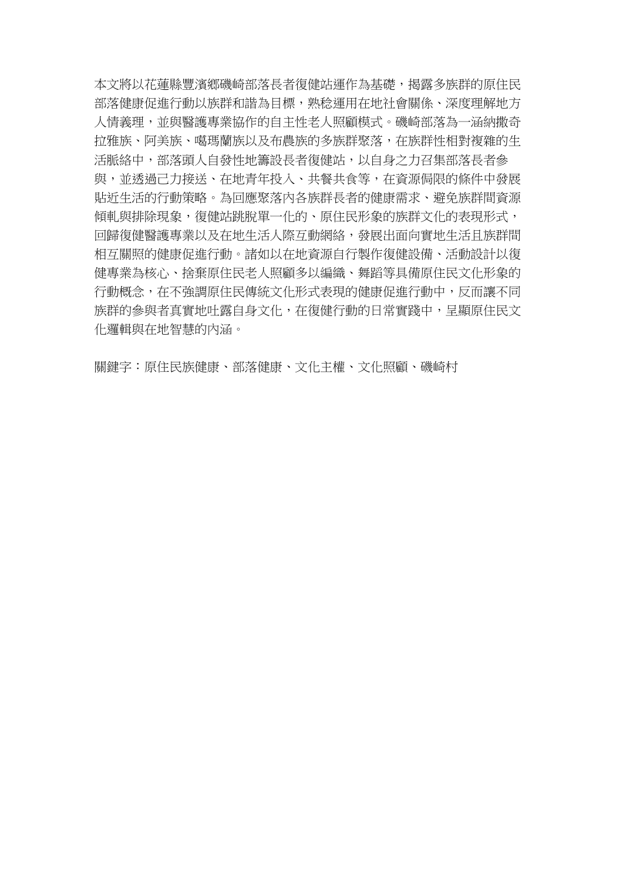本文將以花蓮縣豐濱鄉磯崎部落長者復健站運作為基礎,揭露多族群的原住民 部落健康促進行動以族群和諧為目標,熟稔運用在地社會關係、深度理解地方 人情義理,並與醫護專業協作的自主性老人照顧模式。磯崎部落為一涵納撒奇 拉雅族、阿美族、噶瑪蘭族以及布農族的多族群聚落,在族群性相對複雜的生 活脈絡中,部落頭人自發性地籌設長者復健站,以自身之力召集部落長者參 與,並透過己力接送、在地青年投入、共餐共食等,在資源侷限的條件中發展 貼近生活的行動策略。為回應聚落內各族群長者的健康需求、避免族群間資源 傾軋與排除現象,復健站跳脫單一化的、原住民形象的族群文化的表現形式, 回歸復健醫護專業以及在地生活人際互動網絡,發展出面向實地生活且族群間 相互關照的健康促進行動。諸如以在地資源自行製作復健設備、活動設計以復 健專業為核心、捨棄原住民老人照顧多以編織、舞蹈等具備原住民文化形象的 行動概念,在不強調原住民傳統文化形式表現的健康促進行動中,反而讓不同 族群的參與者真實地吐露自身文化,在復健行動的日常實踐中,呈顯原住民文 化邏輯與在地智慧的內涵。

關鍵字:原住民族健康、部落健康、文化主權、文化照顧、磯崎村